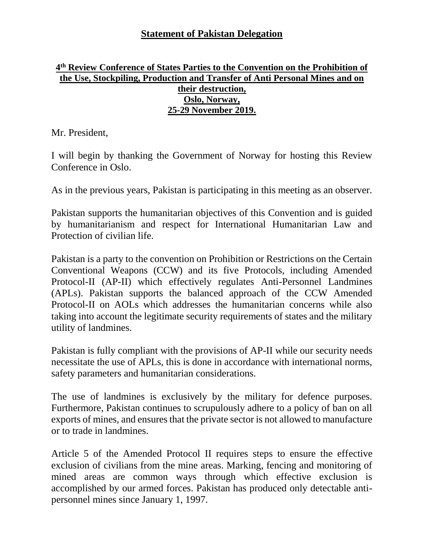## **Statement of Pakistan Delegation**

## **4 th Review Conference of States Parties to the Convention on the Prohibition of the Use, Stockpiling, Production and Transfer of Anti Personal Mines and on their destruction, Oslo, Norway, 25-29 November 2019.**

Mr. President,

I will begin by thanking the Government of Norway for hosting this Review Conference in Oslo.

As in the previous years, Pakistan is participating in this meeting as an observer.

Pakistan supports the humanitarian objectives of this Convention and is guided by humanitarianism and respect for International Humanitarian Law and Protection of civilian life.

Pakistan is a party to the convention on Prohibition or Restrictions on the Certain Conventional Weapons (CCW) and its five Protocols, including Amended Protocol-II (AP-II) which effectively regulates Anti-Personnel Landmines (APLs). Pakistan supports the balanced approach of the CCW Amended Protocol-II on AOLs which addresses the humanitarian concerns while also taking into account the legitimate security requirements of states and the military utility of landmines.

Pakistan is fully compliant with the provisions of AP-II while our security needs necessitate the use of APLs, this is done in accordance with international norms, safety parameters and humanitarian considerations.

The use of landmines is exclusively by the military for defence purposes. Furthermore, Pakistan continues to scrupulously adhere to a policy of ban on all exports of mines, and ensures that the private sector is not allowed to manufacture or to trade in landmines.

Article 5 of the Amended Protocol II requires steps to ensure the effective exclusion of civilians from the mine areas. Marking, fencing and monitoring of mined areas are common ways through which effective exclusion is accomplished by our armed forces. Pakistan has produced only detectable antipersonnel mines since January 1, 1997.